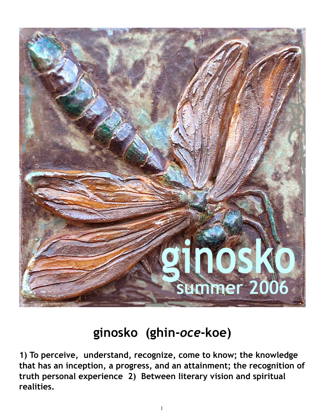

# ginosko (ghin-oce-koe)

1) To perceive, understand, recognize, come to know; the knowledge that has an inception, a progress, and an attainment; the recognition of truth personal experience 2) Between literary vision and spiritual realities.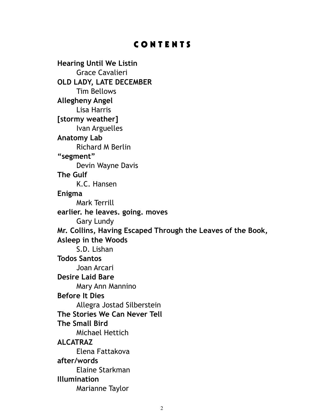# C O N T E N T S

Hearing Until We Listin Grace Cavalieri OLD LADY, LATE DECEMBER Tim Bellows Allegheny Angel Lisa Harris [stormy weather] Ivan Arguelles Anatomy Lab Richard M Berlin "segment" Devin Wayne Davis The Gulf K.C. Hansen Enigma Mark Terrill earlier. he leaves. going. moves Gary Lundy Mr. Collins, Having Escaped Through the Leaves of the Book, Asleep in the Woods S.D. Lishan Todos Santos Joan Arcari Desire Laid Bare Mary Ann Mannino Before It Dies Allegra Jostad Silberstein The Stories We Can Never Tell The Small Bird Michael Hettich ALCATRAZ Elena Fattakova after/words Elaine Starkman Illumination Marianne Taylor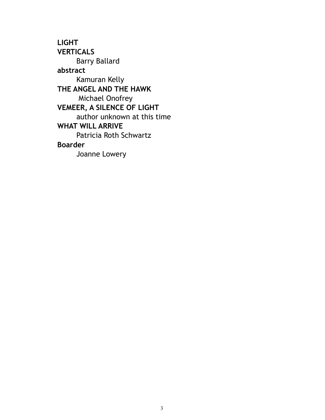LIGHT **VERTICALS** Barry Ballard abstract Kamuran Kelly THE ANGEL AND THE HAWK Michael Onofrey VEMEER, A SILENCE OF LIGHT author unknown at this time WHAT WILL ARRIVE Patricia Roth Schwartz Boarder Joanne Lowery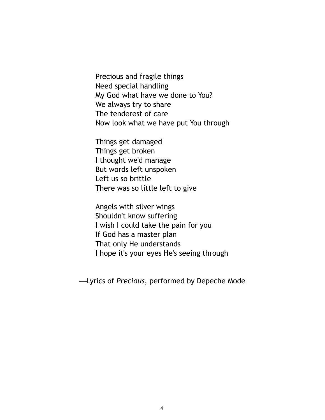Precious and fragile things Need special handling My God what have we done to You? We always try to share The tenderest of care Now look what we have put You through

Things get damaged Things get broken I thought we'd manage But words left unspoken Left us so brittle There was so little left to give

Angels with silver wings Shouldn't know suffering I wish I could take the pain for you If God has a master plan That only He understands I hope it's your eyes He's seeing through

—Lyrics of Precious, performed by Depeche Mode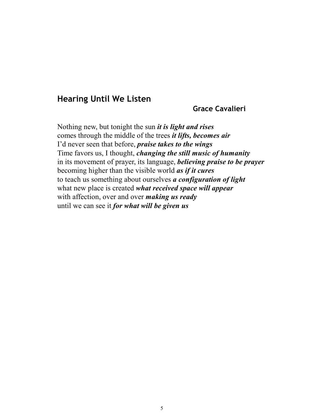# Hearing Until We Listen

Grace Cavalieri

Nothing new, but tonight the sun *it is light and rises* comes through the middle of the trees it lifts, becomes air I'd never seen that before, *praise takes to the wings* Time favors us, I thought, *changing the still music of humanity* in its movement of prayer, its language, believing praise to be prayer becoming higher than the visible world *as if it cures* to teach us something about ourselves a configuration of light what new place is created what received space will appear with affection, over and over *making us ready* until we can see it for what will be given us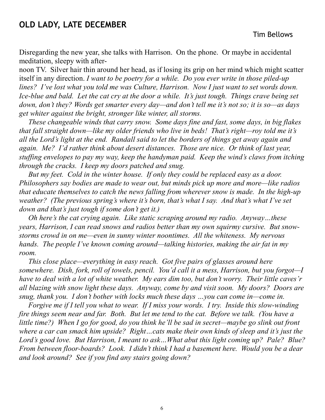# OLD LADY, LATE DECEMBER

Disregarding the new year, she talks with Harrison. On the phone. Or maybe in accidental meditation, sleepy with after-

noon TV. Silver hair thin around her head, as if losing its grip on her mind which might scatter itself in any direction. I want to be poetry for a while. Do you ever write in those piled-up lines? I've lost what you told me was Culture, Harrison. Now I just want to set words down. Ice-blue and bald. Let the cat cry at the door a while. It's just tough. Things crave being set down, don't they? Words get smarter every day—and don't tell me it's not so; it is so—as days get whiter against the bright, stronger like winter, all storms.

 These changeable winds that carry snow. Some days fine and fast, some days, in big flakes that fall straight down—like my older friends who live in beds! That's right—roy told me it's all the Lord's light at the end. Randall said to let the borders of things get away again and again. Me? I'd rather think about desert distances. Those are nice. Or think of last year, stuffing envelopes to pay my way, keep the handyman paid. Keep the wind's claws from itching through the cracks. I keep my doors patched and snug.

 But my feet. Cold in the winter house. If only they could be replaced easy as a door. Philosophers say bodies are made to wear out, but minds pick up more and more—like radios that educate themselves to catch the news falling from wherever snow is made. In the high-up weather? (The previous spring's where it's born, that's what I say. And that's what I've set down and that's just tough if some don't get it.)

 Oh here's the cat crying again. Like static scraping around my radio. Anyway…these years, Harrison, I can read snows and radios better than my own squirmy cursive. But snowstorms crowd in on me—even in sunny winter noontimes. All the whiteness. My nervous hands. The people I've known coming around—talking histories, making the air fat in my room.

 This close place—everything in easy reach. Got five pairs of glasses around here somewhere. Dish, fork, roll of towels, pencil. You'd call it a mess, Harrison, but you forgot—I have to deal with a lot of white weather. My ears dim too, but don't worry. Their little caves'r all blazing with snow light these days. Anyway, come by and visit soon. My doors? Doors are snug, thank you. I don't bother with locks much these days …you can come in—come in.

 Forgive me if I tell you what to wear. If I miss your words. I try. Inside this slow-winding fire things seem near and far. Both. But let me tend to the cat. Before we talk. (You have a little time?) When I go for good, do you think he'll be sad in secret—maybe go slink out front where a car can smack him upside? Right...cats make their own kinds of sleep and it's just the Lord's good love. But Harrison, I meant to ask…What abut this light coming up? Pale? Blue? From between floor-boards? Look. I didn't think I had a basement here. Would you be a dear and look around? See if you find any stairs going down?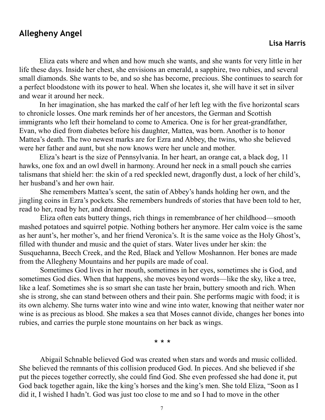Eliza eats where and when and how much she wants, and she wants for very little in her life these days. Inside her chest, she envisions an emerald, a sapphire, two rubies, and several small diamonds. She wants to be, and so she has become, precious. She continues to search for a perfect bloodstone with its power to heal. When she locates it, she will have it set in silver and wear it around her neck.

In her imagination, she has marked the calf of her left leg with the five horizontal scars to chronicle losses. One mark reminds her of her ancestors, the German and Scottish immigrants who left their homeland to come to America. One is for her great-grandfather, Evan, who died from diabetes before his daughter, Mattea, was born. Another is to honor Mattea's death. The two newest marks are for Ezra and Abbey, the twins, who she believed were her father and aunt, but she now knows were her uncle and mother.

Eliza's heart is the size of Pennsylvania. In her heart, an orange cat, a black dog, 11 hawks, one fox and an owl dwell in harmony. Around her neck in a small pouch she carries talismans that shield her: the skin of a red speckled newt, dragonfly dust, a lock of her child's, her husband's and her own hair.

She remembers Mattea's scent, the satin of Abbey's hands holding her own, and the jingling coins in Ezra's pockets. She remembers hundreds of stories that have been told to her, read to her, read by her, and dreamed.

Eliza often eats buttery things, rich things in remembrance of her childhood—smooth mashed potatoes and squirrel potpie. Nothing bothers her anymore. Her calm voice is the same as her aunt's, her mother's, and her friend Veronica's. It is the same voice as the Holy Ghost's, filled with thunder and music and the quiet of stars. Water lives under her skin: the Susquehanna, Beech Creek, and the Red, Black and Yellow Moshannon. Her bones are made from the Allegheny Mountains and her pupils are made of coal.

Sometimes God lives in her mouth, sometimes in her eyes, sometimes she is God, and sometimes God dies. When that happens, she moves beyond words—like the sky, like a tree, like a leaf. Sometimes she is so smart she can taste her brain, buttery smooth and rich. When she is strong, she can stand between others and their pain. She performs magic with food; it is its own alchemy. She turns water into wine and wine into water, knowing that neither water nor wine is as precious as blood. She makes a sea that Moses cannot divide, changes her bones into rubies, and carries the purple stone mountains on her back as wings.

\* \* \*

Abigail Schnable believed God was created when stars and words and music collided. She believed the remnants of this collision produced God. In pieces. And she believed if she put the pieces together correctly, she could find God. She even professed she had done it, put God back together again, like the king's horses and the king's men. She told Eliza, "Soon as I did it, I wished I hadn't. God was just too close to me and so I had to move in the other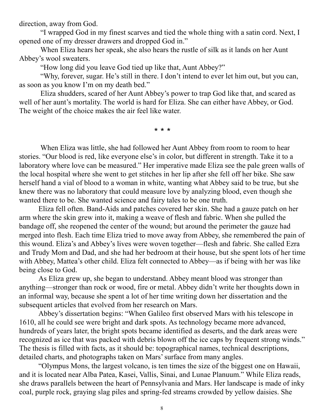direction, away from God.

"I wrapped God in my finest scarves and tied the whole thing with a satin cord. Next, I opened one of my dresser drawers and dropped God in."

When Eliza hears her speak, she also hears the rustle of silk as it lands on her Aunt Abbey's wool sweaters.

"How long did you leave God tied up like that, Aunt Abbey?"

"Why, forever, sugar. He's still in there. I don't intend to ever let him out, but you can, as soon as you know I'm on my death bed."

Eliza shudders, scared of her Aunt Abbey's power to trap God like that, and scared as well of her aunt's mortality. The world is hard for Eliza. She can either have Abbey, or God. The weight of the choice makes the air feel like water.

\* \* \*

When Eliza was little, she had followed her Aunt Abbey from room to room to hear stories. "Our blood is red, like everyone else's in color, but different in strength. Take it to a laboratory where love can be measured." Her imperative made Eliza see the pale green walls of the local hospital where she went to get stitches in her lip after she fell off her bike. She saw herself hand a vial of blood to a woman in white, wanting what Abbey said to be true, but she knew there was no laboratory that could measure love by analyzing blood, even though she wanted there to be. She wanted science and fairy tales to be one truth.

Eliza fell often. Band-Aids and patches covered her skin. She had a gauze patch on her arm where the skin grew into it, making a weave of flesh and fabric. When she pulled the bandage off, she reopened the center of the wound; but around the perimeter the gauze had merged into flesh. Each time Eliza tried to move away from Abbey, she remembered the pain of this wound. Eliza's and Abbey's lives were woven together—flesh and fabric. She called Ezra and Trudy Mom and Dad, and she had her bedroom at their house, but she spent lots of her time with Abbey, Mattea's other child. Eliza felt connected to Abbey—as if being with her was like being close to God.

As Eliza grew up, she began to understand. Abbey meant blood was stronger than anything—stronger than rock or wood, fire or metal. Abbey didn't write her thoughts down in an informal way, because she spent a lot of her time writing down her dissertation and the subsequent articles that evolved from her research on Mars.

Abbey's dissertation begins: "When Galileo first observed Mars with his telescope in 1610, all he could see were bright and dark spots. As technology became more advanced, hundreds of years later, the bright spots became identified as deserts, and the dark areas were recognized as ice that was packed with debris blown off the ice caps by frequent strong winds." The thesis is filled with facts, as it should be: topographical names, technical descriptions, detailed charts, and photographs taken on Mars' surface from many angles.

"Olympus Mons, the largest volcano, is ten times the size of the biggest one on Hawaii, and it is located near Alba Patea, Kasei, Vallis, Sinai, and Lunae Planuum." While Eliza reads, she draws parallels between the heart of Pennsylvania and Mars. Her landscape is made of inky coal, purple rock, graying slag piles and spring-fed streams crowded by yellow daisies. She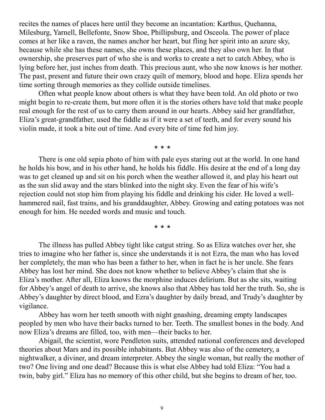recites the names of places here until they become an incantation: Karthus, Quehanna, Milesburg, Yarnell, Bellefonte, Snow Shoe, Phillipsburg, and Osceola. The power of place comes at her like a raven, the names anchor her heart, but fling her spirit into an azure sky, because while she has these names, she owns these places, and they also own her. In that ownership, she preserves part of who she is and works to create a net to catch Abbey, who is lying before her, just inches from death. This precious aunt, who she now knows is her mother. The past, present and future their own crazy quilt of memory, blood and hope. Eliza spends her time sorting through memories as they collide outside timelines.

Often what people know about others is what they have been told. An old photo or two might begin to re-create them, but more often it is the stories others have told that make people real enough for the rest of us to carry them around in our hearts. Abbey said her grandfather, Eliza's great-grandfather, used the fiddle as if it were a set of teeth, and for every sound his violin made, it took a bite out of time. And every bite of time fed him joy.

\* \* \*

There is one old sepia photo of him with pale eyes staring out at the world. In one hand he holds his bow, and in his other hand, he holds his fiddle. His desire at the end of a long day was to get cleaned up and sit on his porch when the weather allowed it, and play his heart out as the sun slid away and the stars blinked into the night sky. Even the fear of his wife's rejection could not stop him from playing his fiddle and drinking his cider. He loved a wellhammered nail, fast trains, and his granddaughter, Abbey. Growing and eating potatoes was not enough for him. He needed words and music and touch.

\* \* \*

The illness has pulled Abbey tight like catgut string. So as Eliza watches over her, she tries to imagine who her father is, since she understands it is not Ezra, the man who has loved her completely, the man who has been a father to her, when in fact he is her uncle. She fears Abbey has lost her mind. She does not know whether to believe Abbey's claim that she is Eliza's mother. After all, Eliza knows the morphine induces delirium. But as she sits, waiting for Abbey's angel of death to arrive, she knows also that Abbey has told her the truth. So, she is Abbey's daughter by direct blood, and Ezra's daughter by daily bread, and Trudy's daughter by vigilance.

Abbey has worn her teeth smooth with night gnashing, dreaming empty landscapes peopled by men who have their backs turned to her. Teeth. The smallest bones in the body. And now Eliza's dreams are filled, too, with men—their backs to her.

Abigail, the scientist, wore Pendleton suits, attended national conferences and developed theories about Mars and its possible inhabitants. But Abbey was also of the cemetery, a nightwalker, a diviner, and dream interpreter. Abbey the single woman, but really the mother of two? One living and one dead? Because this is what else Abbey had told Eliza: "You had a twin, baby girl." Eliza has no memory of this other child, but she begins to dream of her, too.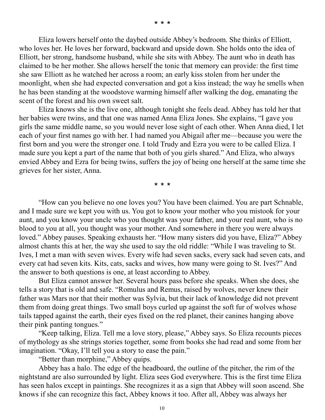\* \* \*

Eliza lowers herself onto the daybed outside Abbey's bedroom. She thinks of Elliott, who loves her. He loves her forward, backward and upside down. She holds onto the idea of Elliott, her strong, handsome husband, while she sits with Abbey. The aunt who in death has claimed to be her mother. She allows herself the tonic that memory can provide: the first time she saw Elliott as he watched her across a room; an early kiss stolen from her under the moonlight, when she had expected conversation and got a kiss instead; the way he smells when he has been standing at the woodstove warming himself after walking the dog, emanating the scent of the forest and his own sweet salt.

Eliza knows she is the live one, although tonight she feels dead. Abbey has told her that her babies were twins, and that one was named Anna Eliza Jones. She explains, "I gave you girls the same middle name, so you would never lose sight of each other. When Anna died, I let each of your first names go with her. I had named you Abigail after me—because you were the first born and you were the stronger one. I told Trudy and Ezra you were to be called Eliza. I made sure you kept a part of the name that both of you girls shared." And Eliza, who always envied Abbey and Ezra for being twins, suffers the joy of being one herself at the same time she grieves for her sister, Anna.

\* \* \*

"How can you believe no one loves you? You have been claimed. You are part Schnable, and I made sure we kept you with us. You got to know your mother who you mistook for your aunt, and you know your uncle who you thought was your father, and your real aunt, who is no blood to you at all, you thought was your mother. And somewhere in there you were always loved." Abbey pauses. Speaking exhausts her. "How many sisters did you have, Eliza?" Abbey almost chants this at her, the way she used to say the old riddle: "While I was traveling to St. Ives, I met a man with seven wives. Every wife had seven sacks, every sack had seven cats, and every cat had seven kits. Kits, cats, sacks and wives, how many were going to St. Ives?" And the answer to both questions is one, at least according to Abbey.

But Eliza cannot answer her. Several hours pass before she speaks. When she does, she tells a story that is old and safe. "Romulus and Remus, raised by wolves, never knew their father was Mars nor that their mother was Sylvia, but their lack of knowledge did not prevent them from doing great things. Two small boys curled up against the soft fur of wolves whose tails tapped against the earth, their eyes fixed on the red planet, their canines hanging above their pink panting tongues."

"Keep talking, Eliza. Tell me a love story, please," Abbey says. So Eliza recounts pieces of mythology as she strings stories together, some from books she had read and some from her imagination. "Okay, I'll tell you a story to ease the pain."

"Better than morphine," Abbey quips.

Abbey has a halo. The edge of the headboard, the outline of the pitcher, the rim of the nightstand are also surrounded by light. Eliza sees God everywhere. This is the first time Eliza has seen halos except in paintings. She recognizes it as a sign that Abbey will soon ascend. She knows if she can recognize this fact, Abbey knows it too. After all, Abbey was always her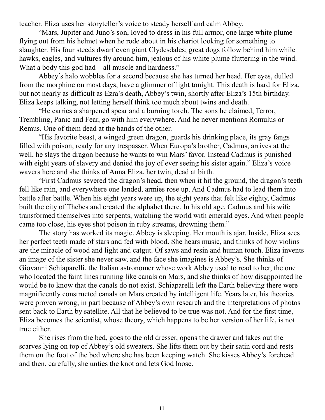teacher. Eliza uses her storyteller's voice to steady herself and calm Abbey.

"Mars, Jupiter and Juno's son, loved to dress in his full armor, one large white plume flying out from his helmet when he rode about in his chariot looking for something to slaughter. His four steeds dwarf even giant Clydesdales; great dogs follow behind him while hawks, eagles, and vultures fly around him, jealous of his white plume fluttering in the wind. What a body this god had—all muscle and hardness."

Abbey's halo wobbles for a second because she has turned her head. Her eyes, dulled from the morphine on most days, have a glimmer of light tonight. This death is hard for Eliza, but not nearly as difficult as Ezra's death, Abbey's twin, shortly after Eliza's 15th birthday. Eliza keeps talking, not letting herself think too much about twins and death.

"He carries a sharpened spear and a burning torch. The sons he claimed, Terror, Trembling, Panic and Fear, go with him everywhere. And he never mentions Romulus or Remus. One of them dead at the hands of the other.

"His favorite beast, a winged green dragon, guards his drinking place, its gray fangs filled with poison, ready for any trespasser. When Europa's brother, Cadmus, arrives at the well, he slays the dragon because he wants to win Mars' favor. Instead Cadmus is punished with eight years of slavery and denied the joy of ever seeing his sister again." Eliza's voice wavers here and she thinks of Anna Eliza, her twin, dead at birth.

"First Cadmus severed the dragon's head, then when it hit the ground, the dragon's teeth fell like rain, and everywhere one landed, armies rose up. And Cadmus had to lead them into battle after battle. When his eight years were up, the eight years that felt like eighty, Cadmus built the city of Thebes and created the alphabet there. In his old age, Cadmus and his wife transformed themselves into serpents, watching the world with emerald eyes. And when people came too close, his eyes shot poison in ruby streams, drowning them."

The story has worked its magic. Abbey is sleeping. Her mouth is ajar. Inside, Eliza sees her perfect teeth made of stars and fed with blood. She hears music, and thinks of how violins are the miracle of wood and light and catgut. Of saws and resin and human touch. Eliza invents an image of the sister she never saw, and the face she imagines is Abbey's. She thinks of Giovanni Schiaparelli, the Italian astronomer whose work Abbey used to read to her, the one who located the faint lines running like canals on Mars, and she thinks of how disappointed he would be to know that the canals do not exist. Schiaparelli left the Earth believing there were magnificently constructed canals on Mars created by intelligent life. Years later, his theories were proven wrong, in part because of Abbey's own research and the interpretations of photos sent back to Earth by satellite. All that he believed to be true was not. And for the first time, Eliza becomes the scientist, whose theory, which happens to be her version of her life, is not true either.

She rises from the bed, goes to the old dresser, opens the drawer and takes out the scarves lying on top of Abbey's old sweaters. She lifts them out by their satin cord and rests them on the foot of the bed where she has been keeping watch. She kisses Abbey's forehead and then, carefully, she unties the knot and lets God loose.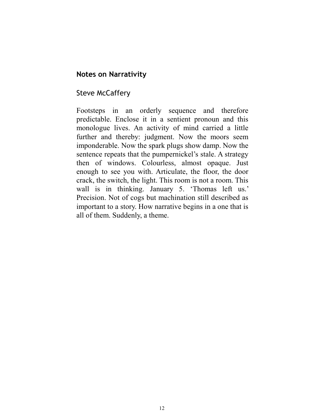#### Notes on Narrativity

#### Steve McCaffery

Footsteps in an orderly sequence and therefore predictable. Enclose it in a sentient pronoun and this monologue lives. An activity of mind carried a little further and thereby: judgment. Now the moors seem imponderable. Now the spark plugs show damp. Now the sentence repeats that the pumpernickel's stale. A strategy then of windows. Colourless, almost opaque. Just enough to see you with. Articulate, the floor, the door crack, the switch, the light. This room is not a room. This wall is in thinking. January 5. 'Thomas left us.' Precision. Not of cogs but machination still described as important to a story. How narrative begins in a one that is all of them. Suddenly, a theme.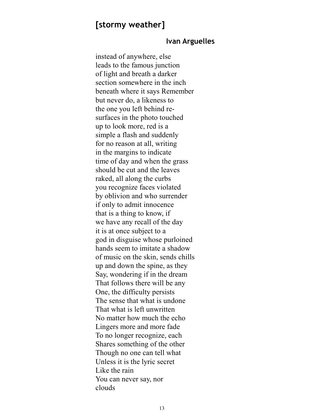### [stormy weather] Ī

#### Ivan Arguelles

instead of anywhere, else leads to the famous junction of light and breath a darker section somewhere in the inch beneath where it says Remember but never do, a likeness to the one you left behind resurfaces in the photo touched up to look more, red is a simple a flash and suddenly for no reason at all, writing in the margins to indicate time of day and when the grass should be cut and the leaves raked, all along the curbs you recognize faces violated by oblivion and who surrender if only to admit innocence that is a thing to know, if we have any recall of the day it is at once subject to a god in disguise whose purloined hands seem to imitate a shadow of music on the skin, sends chills up and down the spine, as they Say, wondering if in the dream That follows there will be any One, the difficulty persists The sense that what is undone That what is left unwritten No matter how much the echo Lingers more and more fade To no longer recognize, each Shares something of the other Though no one can tell what Unless it is the lyric secret Like the rain You can never say, nor clouds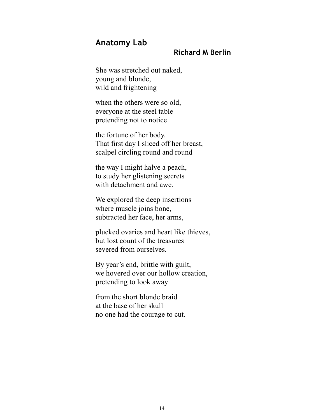# Anatomy Lab

#### Richard M Berlin

She was stretched out naked, young and blonde, wild and frightening

when the others were so old, everyone at the steel table pretending not to notice

the fortune of her body. That first day I sliced off her breast, scalpel circling round and round

the way I might halve a peach, to study her glistening secrets with detachment and awe.

We explored the deep insertions where muscle joins bone, subtracted her face, her arms,

plucked ovaries and heart like thieves, but lost count of the treasures severed from ourselves.

By year's end, brittle with guilt, we hovered over our hollow creation, pretending to look away

from the short blonde braid at the base of her skull no one had the courage to cut.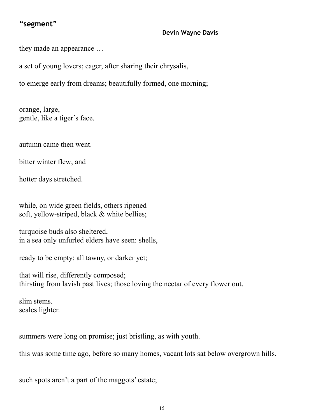### "segment"

#### Devin Wayne Davis

they made an appearance …

a set of young lovers; eager, after sharing their chrysalis,

to emerge early from dreams; beautifully formed, one morning;

orange, large, gentle, like a tiger's face.

autumn came then went.

bitter winter flew; and

hotter days stretched.

while, on wide green fields, others ripened soft, yellow-striped, black & white bellies;

turquoise buds also sheltered, in a sea only unfurled elders have seen: shells,

ready to be empty; all tawny, or darker yet;

that will rise, differently composed; thirsting from lavish past lives; those loving the nectar of every flower out.

slim stems. scales lighter.

summers were long on promise; just bristling, as with youth.

this was some time ago, before so many homes, vacant lots sat below overgrown hills.

such spots aren't a part of the maggots' estate;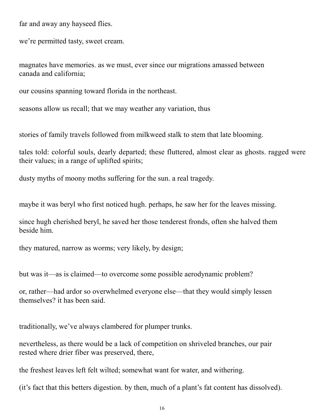far and away any hayseed flies.

we're permitted tasty, sweet cream.

magnates have memories. as we must, ever since our migrations amassed between canada and california;

our cousins spanning toward florida in the northeast.

seasons allow us recall; that we may weather any variation, thus

stories of family travels followed from milkweed stalk to stem that late blooming.

tales told: colorful souls, dearly departed; these fluttered, almost clear as ghosts. ragged were their values; in a range of uplifted spirits;

dusty myths of moony moths suffering for the sun. a real tragedy.

maybe it was beryl who first noticed hugh. perhaps, he saw her for the leaves missing.

since hugh cherished beryl, he saved her those tenderest fronds, often she halved them beside him.

they matured, narrow as worms; very likely, by design;

but was it—as is claimed—to overcome some possible aerodynamic problem?

or, rather—had ardor so overwhelmed everyone else—that they would simply lessen themselves? it has been said.

traditionally, we've always clambered for plumper trunks.

nevertheless, as there would be a lack of competition on shriveled branches, our pair rested where drier fiber was preserved, there,

the freshest leaves left felt wilted; somewhat want for water, and withering.

(it's fact that this betters digestion. by then, much of a plant's fat content has dissolved).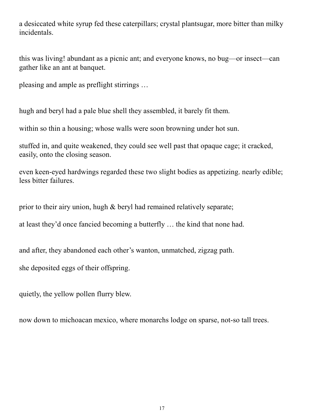a desiccated white syrup fed these caterpillars; crystal plantsugar, more bitter than milky incidentals.

this was living! abundant as a picnic ant; and everyone knows, no bug—or insect—can gather like an ant at banquet.

pleasing and ample as preflight stirrings …

hugh and beryl had a pale blue shell they assembled, it barely fit them.

within so thin a housing; whose walls were soon browning under hot sun.

stuffed in, and quite weakened, they could see well past that opaque cage; it cracked, easily, onto the closing season.

even keen-eyed hardwings regarded these two slight bodies as appetizing. nearly edible; less bitter failures.

prior to their airy union, hugh & beryl had remained relatively separate;

at least they'd once fancied becoming a butterfly … the kind that none had.

and after, they abandoned each other's wanton, unmatched, zigzag path.

she deposited eggs of their offspring.

quietly, the yellow pollen flurry blew.

now down to michoacan mexico, where monarchs lodge on sparse, not-so tall trees.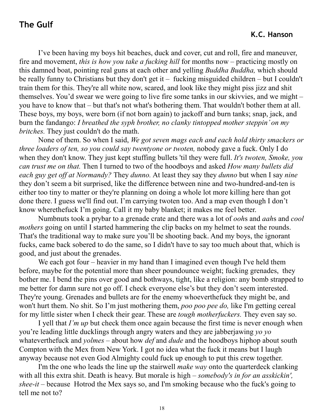# The Gulf

I've been having my boys hit beaches, duck and cover, cut and roll, fire and maneuver, fire and movement, this is how you take a fucking hill for months now – practicing mostly on this damned boat, pointing real guns at each other and yelling Buddha Buddha, which should be really funny to Christians but they don't get it – fucking misguided children – but I couldn't train them for this. They're all white now, scared, and look like they might piss jizz and shit themselves. You'd swear we were going to live fire some tanks in our skivvies, and we might – you have to know that – but that's not what's bothering them. That wouldn't bother them at all. These boys, my boys, were born (if not born again) to jackoff and burn tanks; snap, jack, and burn the fandango: I breathed the syph brother, no clanky tintopped mother steppin' on my britches. They just couldn't do the math.

None of them. So when I said, We got seven mags each and each hold thirty smackers or three loaders of ten, so you could say twentyone or twoten, nobody gave a fuck. Only I do when they don't know. They just kept stuffing bullets 'til they were full. It's twoten, Smoke, you can trust me on that. Then I turned to two of the hoodboys and asked How many bullets did each guy get off at Normandy? They dunno. At least they say they dunno but when I say nine they don't seem a bit surprised, like the difference between nine and two-hundred-and-ten is either too tiny to matter or they're planning on doing a whole lot more killing here than got done there. I guess we'll find out. I'm carrying twoten too. And a map even though I don't know wherethefuck I'm going. Call it my baby blanket; it makes me feel better.

Numbnuts took a prybar to a grenade crate and there was a lot of *oohs* and *aahs* and *cool* mothers going on until I started hammering the clip backs on my helmet to seat the rounds. That's the traditional way to make sure you'll be shooting back. And my boys, the ignorant fucks, came back sobered to do the same, so I didn't have to say too much about that, which is good, and just about the grenades.

We each got four – heavier in my hand than I imagined even though I've held them before, maybe for the potential more than sheer poundounce weight; fucking grenades, they bother me. I bend the pins over good and bothways, tight, like a religion: any bomb strapped to me better for damn sure not go off. I check everyone else's but they don't seem interested. They're young. Grenades and bullets are for the enemy whoeverthefuck they might be, and won't hurt them. No shit. So I'm just mothering them, *poo poo pee do*, like I'm getting cereal for my little sister when I check their gear. These are *tough motherfuckers*. They even say so.

I yell that  $I'm$  up but check them once again because the first time is never enough when you're leading little ducklings through angry waters and they are jabberjawing yo yo whateverthefuck and *yolmes* – about how *def* and *dude* and the hoodboys hiphop about south Compton with the Mex from New York. I got no idea what the fuck it means but I laugh anyway because not even God Almighty could fuck up enough to put this crew together.

I'm the one who leads the line up the stairwell *make way* onto the quarterdeck clanking with all this extra shit. Death is heavy. But morale is high – somebody's in for an asskickin', shee-it – because Hotrod the Mex says so, and I'm smoking because who the fuck's going to tell me not to?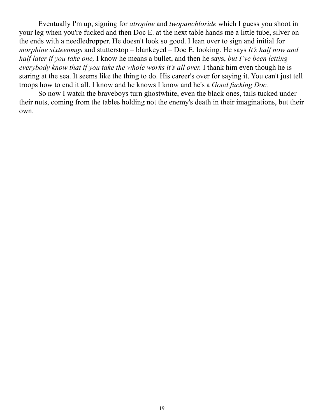Eventually I'm up, signing for atropine and twopanchloride which I guess you shoot in your leg when you're fucked and then Doc E. at the next table hands me a little tube, silver on the ends with a needledropper. He doesn't look so good. I lean over to sign and initial for morphine sixteenmgs and stutterstop – blankeyed – Doc E. looking. He says It's half now and half later if you take one, I know he means a bullet, and then he says, but I've been letting everybody know that if you take the whole works it's all over. I thank him even though he is staring at the sea. It seems like the thing to do. His career's over for saying it. You can't just tell troops how to end it all. I know and he knows I know and he's a Good fucking Doc.

So now I watch the braveboys turn ghostwhite, even the black ones, tails tucked under their nuts, coming from the tables holding not the enemy's death in their imaginations, but their own.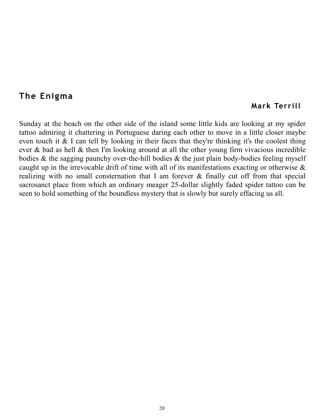# The Enigma

# Mark Terrill

Sunday at the beach on the other side of the island some little kids are looking at my spider tattoo admiring it chattering in Portuguese daring each other to move in a little closer maybe even touch it & I can tell by looking in their faces that they're thinking it's the coolest thing ever  $\&$  bad as hell  $\&$  then I'm looking around at all the other young firm vivacious incredible bodies & the sagging paunchy over-the-hill bodies & the just plain body-bodies feeling myself caught up in the irrevocable drift of time with all of its manifestations exacting or otherwise & realizing with no small consternation that I am forever & finally cut off from that special sacrosanct place from which an ordinary meager 25-dollar slightly faded spider tattoo can be seen to hold something of the boundless mystery that is slowly but surely effacing us all.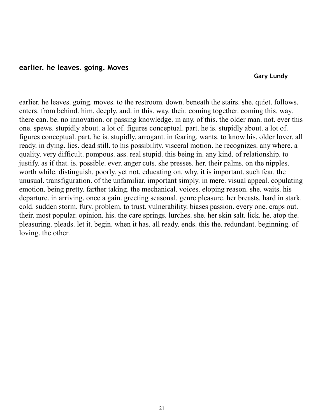#### earlier. he leaves. going. Moves

#### Gary Lundy

earlier. he leaves. going. moves. to the restroom. down. beneath the stairs. she. quiet. follows. enters. from behind. him. deeply. and. in this. way. their. coming together. coming this. way. there can. be. no innovation. or passing knowledge. in any. of this. the older man. not. ever this one. spews. stupidly about. a lot of. figures conceptual. part. he is. stupidly about. a lot of. figures conceptual. part. he is. stupidly. arrogant. in fearing. wants. to know his. older lover. all ready. in dying. lies. dead still. to his possibility. visceral motion. he recognizes. any where. a quality. very difficult. pompous. ass. real stupid. this being in. any kind. of relationship. to justify. as if that. is. possible. ever. anger cuts. she presses. her. their palms. on the nipples. worth while. distinguish. poorly. yet not. educating on. why. it is important. such fear. the unusual. transfiguration. of the unfamiliar. important simply. in mere. visual appeal. copulating emotion. being pretty. farther taking. the mechanical. voices. eloping reason. she. waits. his departure. in arriving. once a gain. greeting seasonal. genre pleasure. her breasts. hard in stark. cold. sudden storm. fury. problem. to trust. vulnerability. biases passion. every one. craps out. their. most popular. opinion. his. the care springs. lurches. she. her skin salt. lick. he. atop the. pleasuring. pleads. let it. begin. when it has. all ready. ends. this the. redundant. beginning. of loving. the other.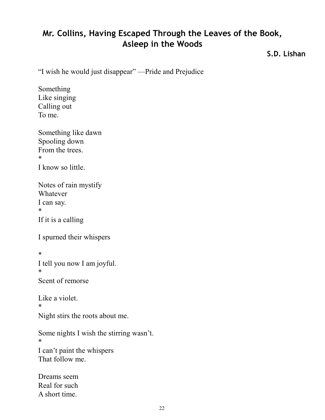# Mr. Collins, Having Escaped Through the Leaves of the Book, Asleep in the Woods

S.D. Lishan

"I wish he would just disappear" —Pride and Prejudice

Something Like singing Calling out To me.

Something like dawn Spooling down From the trees. \* I know so little.

Notes of rain mystify Whatever I can say. \* If it is a calling

I spurned their whispers

```
* 
I tell you now I am joyful. 
* 
Scent of remorse
```
Like a violet.

\*

Night stirs the roots about me.

Some nights I wish the stirring wasn't. \* I can't paint the whispers That follow me.

Dreams seem Real for such A short time.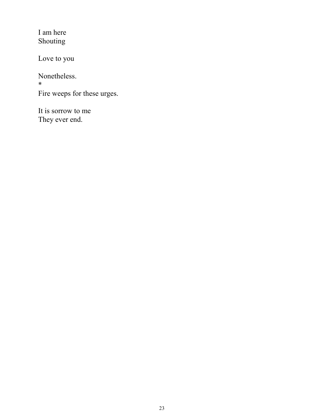I am here Shouting

Love to you

Nonetheless. \* Fire weeps for these urges.

It is sorrow to me They ever end.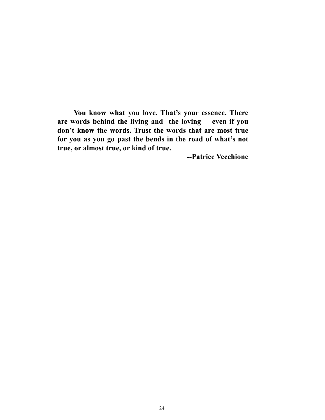You know what you love. That's your essence. There are words behind the living and the loving even if you don't know the words. Trust the words that are most true for you as you go past the bends in the road of what's not true, or almost true, or kind of true.

--Patrice Vecchione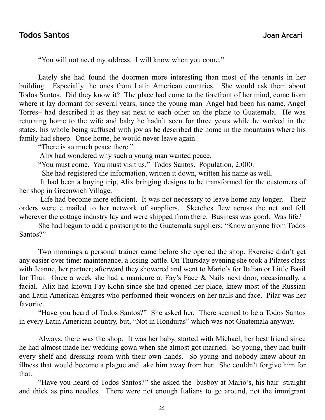# Todos Santos Joan Arcari

"You will not need my address. I will know when you come."

 Lately she had found the doormen more interesting than most of the tenants in her building. Especially the ones from Latin American countries. She would ask them about Todos Santos. Did they know it? The place had come to the forefront of her mind, come from where it lay dormant for several years, since the young man–Angel had been his name, Angel Torres– had described it as they sat next to each other on the plane to Guatemala. He was returning home to the wife and baby he hadn't seen for three years while he worked in the states, his whole being suffused with joy as he described the home in the mountains where his family had sheep. Once home, he would never leave again.

"There is so much peace there."

Alix had wondered why such a young man wanted peace.

"You must come. You must visit us." Todos Santos. Population, 2,000.

She had registered the information, written it down, written his name as well.

 It had been a buying trip, Alix bringing designs to be transformed for the customers of her shop in Greenwich Village.

 Life had become more efficient. It was not necessary to leave home any longer. Their orders were e mailed to her network of suppliers. Sketches flew across the net and fell wherever the cottage industry lay and were shipped from there. Business was good. Was life?

 She had begun to add a postscript to the Guatemala suppliers: "Know anyone from Todos Santos?"

 Two mornings a personal trainer came before she opened the shop. Exercise didn't get any easier over time: maintenance, a losing battle. On Thursday evening she took a Pilates class with Jeanne, her partner; afterward they showered and went to Mario's for Italian or Little Basil for Thai. Once a week she had a manicure at Fay's Face & Nails next door, occasionally, a facial. Alix had known Fay Kohn since she had opened her place, knew most of the Russian and Latin American émigrés who performed their wonders on her nails and face. Pilar was her favorite.

 "Have you heard of Todos Santos?" She asked her. There seemed to be a Todos Santos in every Latin American country, but, "Not in Honduras" which was not Guatemala anyway.

 Always, there was the shop. It was her baby, started with Michael, her best friend since he had almost made her wedding gown when she almost got married. So young, they had built every shelf and dressing room with their own hands. So young and nobody knew about an illness that would become a plague and take him away from her. She couldn't forgive him for that.

 "Have you heard of Todos Santos?" she asked the busboy at Mario's, his hair straight and thick as pine needles. There were not enough Italians to go around, not the immigrant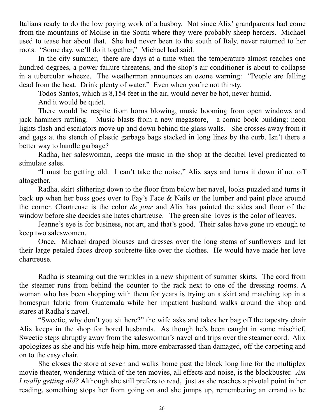Italians ready to do the low paying work of a busboy. Not since Alix' grandparents had come from the mountains of Molise in the South where they were probably sheep herders. Michael used to tease her about that. She had never been to the south of Italy, never returned to her roots. "Some day, we'll do it together," Michael had said.

 In the city summer, there are days at a time when the temperature almost reaches one hundred degrees, a power failure threatens, and the shop's air conditioner is about to collapse in a tubercular wheeze. The weatherman announces an ozone warning: "People are falling dead from the heat. Drink plenty of water." Even when you're not thirsty.

Todos Santos, which is 8,154 feet in the air, would never be hot, never humid.

And it would be quiet.

 There would be respite from horns blowing, music booming from open windows and jack hammers rattling. Music blasts from a new megastore, a comic book building: neon lights flash and escalators move up and down behind the glass walls. She crosses away from it and gags at the stench of plastic garbage bags stacked in long lines by the curb. Isn't there a better way to handle garbage?

 Radha, her saleswoman, keeps the music in the shop at the decibel level predicated to stimulate sales.

 "I must be getting old. I can't take the noise," Alix says and turns it down if not off altogether.

 Radha, skirt slithering down to the floor from below her navel, looks puzzled and turns it back up when her boss goes over to Fay's Face & Nails or the lumber and paint place around the corner. Chartreuse is the color de jour and Alix has painted the sides and floor of the window before she decides she hates chartreuse. The green she loves is the color of leaves.

 Jeanne's eye is for business, not art, and that's good. Their sales have gone up enough to keep two saleswomen.

 Once, Michael draped blouses and dresses over the long stems of sunflowers and let their large petaled faces droop soubrette-like over the clothes. He would have made her love chartreuse.

 Radha is steaming out the wrinkles in a new shipment of summer skirts. The cord from the steamer runs from behind the counter to the rack next to one of the dressing rooms. A woman who has been shopping with them for years is trying on a skirt and matching top in a homespun fabric from Guatemala while her impatient husband walks around the shop and stares at Radha's navel.

 "Sweetie, why don't you sit here?" the wife asks and takes her bag off the tapestry chair Alix keeps in the shop for bored husbands. As though he's been caught in some mischief, Sweetie steps abruptly away from the saleswoman's navel and trips over the steamer cord. Alix apologizes as she and his wife help him, more embarrassed than damaged, off the carpeting and on to the easy chair.

 She closes the store at seven and walks home past the block long line for the multiplex movie theater, wondering which of the ten movies, all effects and noise, is the blockbuster. Am I really getting old? Although she still prefers to read, just as she reaches a pivotal point in her reading, something stops her from going on and she jumps up, remembering an errand to be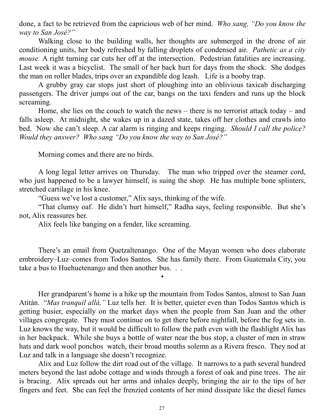done, a fact to be retrieved from the capricious web of her mind. Who sang, "Do you know the way to San José?"

 Walking close to the building walls, her thoughts are submerged in the drone of air conditioning units, her body refreshed by falling droplets of condensed air. Pathetic as a city mouse. A right turning car cuts her off at the intersection. Pedestrian fatalities are increasing. Last week it was a bicyclist. The small of her back hurt for days from the shock. She dodges the man on roller blades, trips over an expandible dog leash. Life is a booby trap.

 A grubby gray car stops just short of ploughing into an oblivious taxicab discharging passengers. The driver jumps out of the car, bangs on the taxi fenders and runs up the block screaming.

 Home, she lies on the couch to watch the news – there is no terrorist attack today – and falls asleep. At midnight, she wakes up in a dazed state, takes off her clothes and crawls into bed. Now she can't sleep. A car alarm is ringing and keeps ringing. Should I call the police? Would they answer? Who sang "Do you know the way to San José?"

Morning comes and there are no birds.

 A long legal letter arrives on Thursday. The man who tripped over the steamer cord, who just happened to be a lawyer himself, is suing the shop. He has multiple bone splinters, stretched cartilage in his knee.

"Guess we've lost a customer," Alix says, thinking of the wife.

 "That clumsy oaf. He didn't hurt himself," Radha says, feeling responsible. But she's not, Alix reassures her.

Alix feels like banging on a fender, like screaming.

 There's an email from Quetzaltenango. One of the Mayan women who does elaborate embroidery–Luz–comes from Todos Santos. She has family there. From Guatemala City, you take a bus to Huehuetenango and then another bus. . .

•

 Her grandparent's home is a hike up the mountain from Todos Santos, almost to San Juan Atitán. "Mas tranquil allá," Luz tells her. It is better, quieter even than Todos Santos which is getting busier, especially on the market days when the people from San Juan and the other villages congregate. They must continue on to get there before nightfall, before the fog sets in. Luz knows the way, but it would be difficult to follow the path even with the flashlight Alix has in her backpack. While she buys a bottle of water near the bus stop, a cluster of men in straw hats and dark wool ponchos watch, their broad mouths solemn as a Rivera fresco. They nod at Luz and talk in a language she doesn't recognize.

 Alix and Luz follow the dirt road out of the village. It narrows to a path several hundred meters beyond the last adobe cottage and winds through a forest of oak and pine trees. The air is bracing. Alix spreads out her arms and inhales deeply, bringing the air to the tips of her fingers and feet. She can feel the frenzied contents of her mind dissipate like the diesel fumes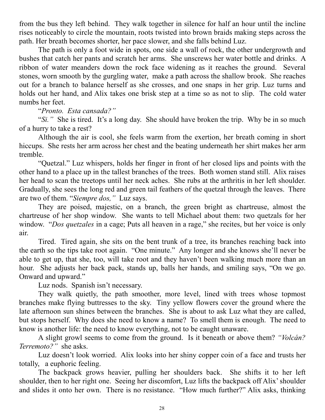from the bus they left behind. They walk together in silence for half an hour until the incline rises noticeably to circle the mountain, roots twisted into brown braids making steps across the path. Her breath becomes shorter, her pace slower, and she falls behind Luz.

 The path is only a foot wide in spots, one side a wall of rock, the other undergrowth and bushes that catch her pants and scratch her arms. She unscrews her water bottle and drinks. A ribbon of water meanders down the rock face widening as it reaches the ground. Several stones, worn smooth by the gurgling water, make a path across the shallow brook. She reaches out for a branch to balance herself as she crosses, and one snaps in her grip. Luz turns and holds out her hand, and Alix takes one brisk step at a time so as not to slip. The cold water numbs her feet.

"Pronto. Esta cansada?"

"Si." She is tired. It's a long day. She should have broken the trip. Why be in so much of a hurry to take a rest?

 Although the air is cool, she feels warm from the exertion, her breath coming in short hiccups. She rests her arm across her chest and the beating underneath her shirt makes her arm tremble.

 "Quetzal." Luz whispers, holds her finger in front of her closed lips and points with the other hand to a place up in the tallest branches of the trees. Both women stand still. Alix raises her head to scan the treetops until her neck aches. She rubs at the arthritis in her left shoulder. Gradually, she sees the long red and green tail feathers of the quetzal through the leaves. There are two of them. "Siempre dos," Luz says.

 They are poised, majestic, on a branch, the green bright as chartreuse, almost the chartreuse of her shop window. She wants to tell Michael about them: two quetzals for her window. "Dos quetzales in a cage; Puts all heaven in a rage," she recites, but her voice is only air.

 Tired. Tired again, she sits on the bent trunk of a tree, its branches reaching back into the earth so the tips take root again. "One minute." Any longer and she knows she'll never be able to get up, that she, too, will take root and they haven't been walking much more than an hour. She adjusts her back pack, stands up, balls her hands, and smiling says, "On we go. Onward and upward."

Luz nods. Spanish isn't necessary.

 They walk quietly, the path smoother, more level, lined with trees whose topmost branches make flying buttresses to the sky. Tiny yellow flowers cover the ground where the late afternoon sun shines between the branches. She is about to ask Luz what they are called, but stops herself. Why does she need to know a name? To smell them is enough. The need to know is another life: the need to know everything, not to be caught unaware.

 A slight growl seems to come from the ground. Is it beneath or above them? "Volcán? Terremoto?" she asks.

 Luz doesn't look worried. Alix looks into her shiny copper coin of a face and trusts her totally, a euphoric feeling.

 The backpack grows heavier, pulling her shoulders back. She shifts it to her left shoulder, then to her right one. Seeing her discomfort, Luz lifts the backpack off Alix' shoulder and slides it onto her own. There is no resistance. "How much further?" Alix asks, thinking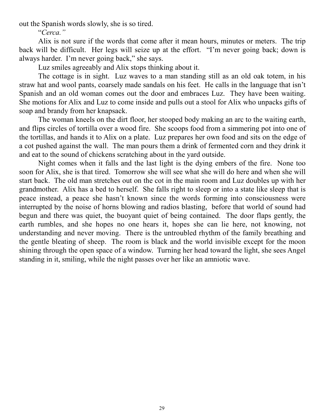out the Spanish words slowly, she is so tired.

"Cerca."

 Alix is not sure if the words that come after it mean hours, minutes or meters. The trip back will be difficult. Her legs will seize up at the effort. "I'm never going back; down is always harder. I'm never going back," she says.

Luz smiles agreeably and Alix stops thinking about it.

 The cottage is in sight. Luz waves to a man standing still as an old oak totem, in his straw hat and wool pants, coarsely made sandals on his feet. He calls in the language that isn't Spanish and an old woman comes out the door and embraces Luz. They have been waiting. She motions for Alix and Luz to come inside and pulls out a stool for Alix who unpacks gifts of soap and brandy from her knapsack.

 The woman kneels on the dirt floor, her stooped body making an arc to the waiting earth, and flips circles of tortilla over a wood fire. She scoops food from a simmering pot into one of the tortillas, and hands it to Alix on a plate. Luz prepares her own food and sits on the edge of a cot pushed against the wall. The man pours them a drink of fermented corn and they drink it and eat to the sound of chickens scratching about in the yard outside.

 Night comes when it falls and the last light is the dying embers of the fire. None too soon for Alix, she is that tired. Tomorrow she will see what she will do here and when she will start back. The old man stretches out on the cot in the main room and Luz doubles up with her grandmother. Alix has a bed to herself. She falls right to sleep or into a state like sleep that is peace instead, a peace she hasn't known since the words forming into consciousness were interrupted by the noise of horns blowing and radios blasting, before that world of sound had begun and there was quiet, the buoyant quiet of being contained. The door flaps gently, the earth rumbles, and she hopes no one hears it, hopes she can lie here, not knowing, not understanding and never moving. There is the untroubled rhythm of the family breathing and the gentle bleating of sheep. The room is black and the world invisible except for the moon shining through the open space of a window. Turning her head toward the light, she sees Angel standing in it, smiling, while the night passes over her like an amniotic wave.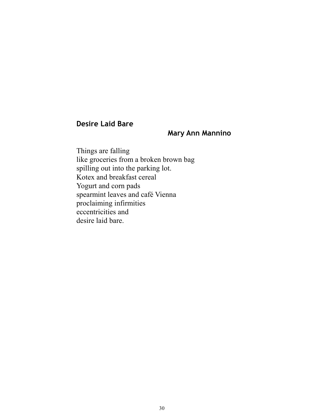### Desire Laid Bare

# Mary Ann Mannino

Things are falling like groceries from a broken brown bag spilling out into the parking lot. Kotex and breakfast cereal Yogurt and corn pads spearmint leaves and café Vienna proclaiming infirmities eccentricities and desire laid bare.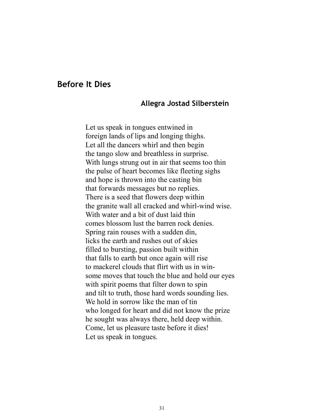#### Before It Dies

#### Allegra Jostad Silberstein

Let us speak in tongues entwined in foreign lands of lips and longing thighs. Let all the dancers whirl and then begin the tango slow and breathless in surprise. With lungs strung out in air that seems too thin the pulse of heart becomes like fleeting sighs and hope is thrown into the casting bin that forwards messages but no replies. There is a seed that flowers deep within the granite wall all cracked and whirl-wind wise. With water and a bit of dust laid thin comes blossom lust the barren rock denies. Spring rain rouses with a sudden din, licks the earth and rushes out of skies filled to bursting, passion built within that falls to earth but once again will rise to mackerel clouds that flirt with us in winsome moves that touch the blue and hold our eyes with spirit poems that filter down to spin and tilt to truth, those hard words sounding lies. We hold in sorrow like the man of tin who longed for heart and did not know the prize he sought was always there, held deep within. Come, let us pleasure taste before it dies! Let us speak in tongues.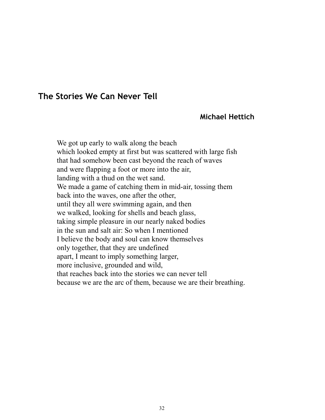# The Stories We Can Never Tell

#### Michael Hettich

We got up early to walk along the beach which looked empty at first but was scattered with large fish that had somehow been cast beyond the reach of waves and were flapping a foot or more into the air, landing with a thud on the wet sand. We made a game of catching them in mid-air, tossing them back into the waves, one after the other, until they all were swimming again, and then we walked, looking for shells and beach glass, taking simple pleasure in our nearly naked bodies in the sun and salt air: So when I mentioned I believe the body and soul can know themselves only together, that they are undefined apart, I meant to imply something larger, more inclusive, grounded and wild, that reaches back into the stories we can never tell because we are the arc of them, because we are their breathing.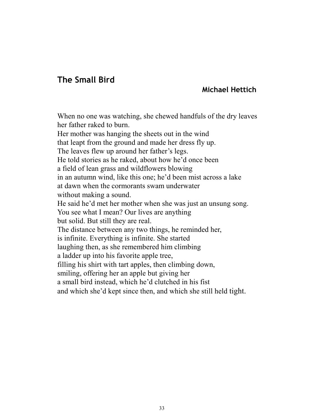### The Small Bird

#### Michael Hettich

When no one was watching, she chewed handfuls of the dry leaves her father raked to burn. Her mother was hanging the sheets out in the wind that leapt from the ground and made her dress fly up. The leaves flew up around her father's legs. He told stories as he raked, about how he'd once been a field of lean grass and wildflowers blowing in an autumn wind, like this one; he'd been mist across a lake at dawn when the cormorants swam underwater without making a sound. He said he'd met her mother when she was just an unsung song. You see what I mean? Our lives are anything but solid. But still they are real. The distance between any two things, he reminded her, is infinite. Everything is infinite. She started laughing then, as she remembered him climbing a ladder up into his favorite apple tree, filling his shirt with tart apples, then climbing down, smiling, offering her an apple but giving her a small bird instead, which he'd clutched in his fist and which she'd kept since then, and which she still held tight.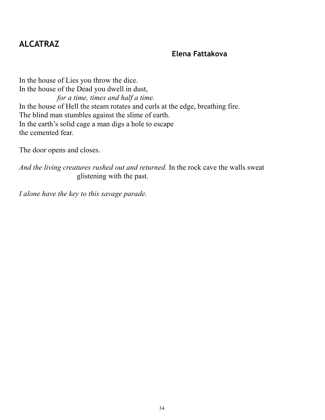# ALCATRAZ

# Elena Fattakova

In the house of Lies you throw the dice. In the house of the Dead you dwell in dust, for a time, times and half a time. In the house of Hell the steam rotates and curls at the edge, breathing fire. The blind man stumbles against the slime of earth. In the earth's solid cage a man digs a hole to escape the cemented fear.

The door opens and closes.

And the living creatures rushed out and returned. In the rock cave the walls sweat glistening with the past.

I alone have the key to this savage parade.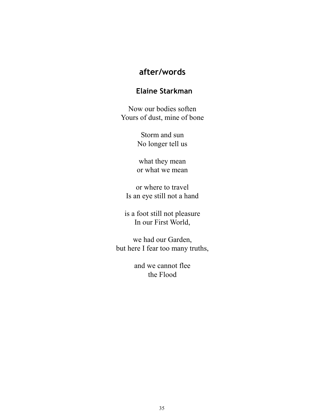# after/words

# Elaine Starkman

Now our bodies soften Yours of dust, mine of bone

> Storm and sun No longer tell us

what they mean or what we mean

or where to travel Is an eye still not a hand

is a foot still not pleasure In our First World,

we had our Garden, but here I fear too many truths,

> and we cannot flee the Flood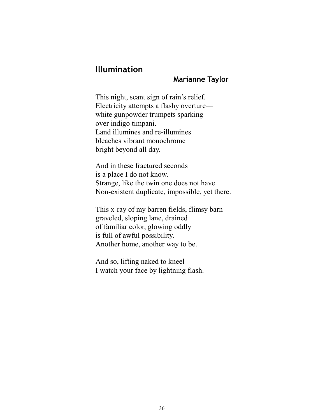# Illumination

#### Marianne Taylor

This night, scant sign of rain's relief. Electricity attempts a flashy overture white gunpowder trumpets sparking over indigo timpani. Land illumines and re-illumines bleaches vibrant monochrome bright beyond all day.

And in these fractured seconds is a place I do not know. Strange, like the twin one does not have. Non-existent duplicate, impossible, yet there.

This x-ray of my barren fields, flimsy barn graveled, sloping lane, drained of familiar color, glowing oddly is full of awful possibility. Another home, another way to be.

And so, lifting naked to kneel I watch your face by lightning flash.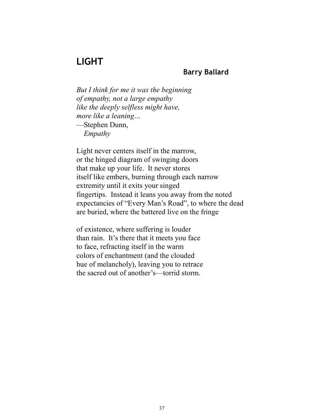# LIGHT

#### Barry Ballard

But I think for me it was the beginning of empathy, not a large empathy like the deeply selfless might have, more like a leaning… —Stephen Dunn, Empathy

Light never centers itself in the marrow, or the hinged diagram of swinging doors that make up your life. It never stores itself like embers, burning through each narrow extremity until it exits your singed fingertips. Instead it leans you away from the noted expectancies of "Every Man's Road", to where the dead are buried, where the battered live on the fringe

of existence, where suffering is louder than rain. It's there that it meets you face to face, refracting itself in the warm colors of enchantment (and the clouded hue of melancholy), leaving you to retrace the sacred out of another's—torrid storm.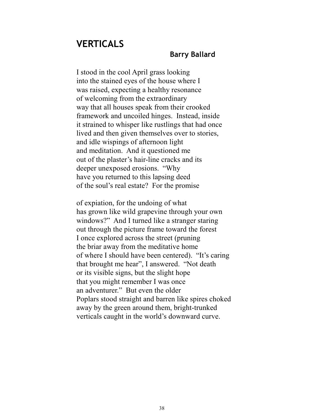# VERTICALS

#### Barry Ballard

I stood in the cool April grass looking into the stained eyes of the house where I was raised, expecting a healthy resonance of welcoming from the extraordinary way that all houses speak from their crooked framework and uncoiled hinges. Instead, inside it strained to whisper like rustlings that had once lived and then given themselves over to stories, and idle wispings of afternoon light and meditation. And it questioned me out of the plaster's hair-line cracks and its deeper unexposed erosions. "Why have you returned to this lapsing deed of the soul's real estate? For the promise

of expiation, for the undoing of what has grown like wild grapevine through your own windows?" And I turned like a stranger staring out through the picture frame toward the forest I once explored across the street (pruning the briar away from the meditative home of where I should have been centered). "It's caring that brought me hear", I answered. "Not death or its visible signs, but the slight hope that you might remember I was once an adventurer." But even the older Poplars stood straight and barren like spires choked away by the green around them, bright-trunked verticals caught in the world's downward curve.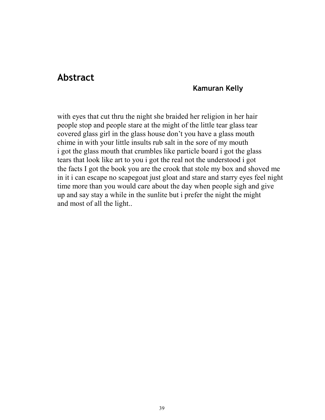# Abstract

#### Kamuran Kelly

with eyes that cut thru the night she braided her religion in her hair people stop and people stare at the might of the little tear glass tear covered glass girl in the glass house don't you have a glass mouth chime in with your little insults rub salt in the sore of my mouth i got the glass mouth that crumbles like particle board i got the glass tears that look like art to you i got the real not the understood i got the facts I got the book you are the crook that stole my box and shoved me in it i can escape no scapegoat just gloat and stare and starry eyes feel night time more than you would care about the day when people sigh and give up and say stay a while in the sunlite but i prefer the night the might and most of all the light..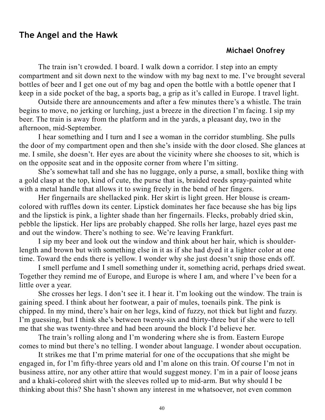### The Angel and the Hawk

#### Michael Onofrey

The train isn't crowded. I board. I walk down a corridor. I step into an empty compartment and sit down next to the window with my bag next to me. I've brought several bottles of beer and I get one out of my bag and open the bottle with a bottle opener that I keep in a side pocket of the bag, a sports bag, a grip as it's called in Europe. I travel light.

Outside there are announcements and after a few minutes there's a whistle. The train begins to move, no jerking or lurching, just a breeze in the direction I'm facing. I sip my beer. The train is away from the platform and in the yards, a pleasant day, two in the afternoon, mid-September.

I hear something and I turn and I see a woman in the corridor stumbling. She pulls the door of my compartment open and then she's inside with the door closed. She glances at me. I smile, she doesn't. Her eyes are about the vicinity where she chooses to sit, which is on the opposite seat and in the opposite corner from where I'm sitting.

She's somewhat tall and she has no luggage, only a purse, a small, boxlike thing with a gold clasp at the top, kind of cute, the purse that is, braided reeds spray-painted white with a metal handle that allows it to swing freely in the bend of her fingers.

Her fingernails are shellacked pink. Her skirt is light green. Her blouse is creamcolored with ruffles down its center. Lipstick dominates her face because she has big lips and the lipstick is pink, a lighter shade than her fingernails. Flecks, probably dried skin, pebble the lipstick. Her lips are probably chapped. She rolls her large, hazel eyes past me and out the window. There's nothing to see. We're leaving Frankfurt.

I sip my beer and look out the window and think about her hair, which is shoulderlength and brown but with something else in it as if she had dyed it a lighter color at one time. Toward the ends there is yellow. I wonder why she just doesn't snip those ends off.

I smell perfume and I smell something under it, something acrid, perhaps dried sweat. Together they remind me of Europe, and Europe is where I am, and where I've been for a little over a year.

She crosses her legs. I don't see it. I hear it. I'm looking out the window. The train is gaining speed. I think about her footwear, a pair of mules, toenails pink. The pink is chipped. In my mind, there's hair on her legs, kind of fuzzy, not thick but light and fuzzy. I'm guessing, but I think she's between twenty-six and thirty-three but if she were to tell me that she was twenty-three and had been around the block I'd believe her.

The train's rolling along and I'm wondering where she is from. Eastern Europe comes to mind but there's no telling. I wonder about language. I wonder about occupation.

It strikes me that I'm prime material for one of the occupations that she might be engaged in, for I'm fifty-three years old and I'm alone on this train. Of course I'm not in business attire, nor any other attire that would suggest money. I'm in a pair of loose jeans and a khaki-colored shirt with the sleeves rolled up to mid-arm. But why should I be thinking about this? She hasn't shown any interest in me whatsoever, not even common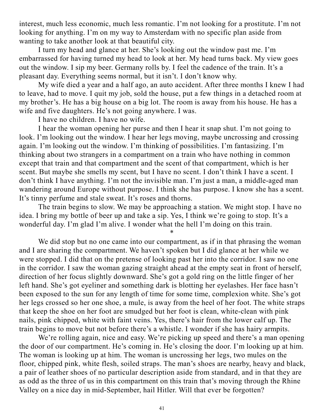interest, much less economic, much less romantic. I'm not looking for a prostitute. I'm not looking for anything. I'm on my way to Amsterdam with no specific plan aside from wanting to take another look at that beautiful city.

I turn my head and glance at her. She's looking out the window past me. I'm embarrassed for having turned my head to look at her. My head turns back. My view goes out the window. I sip my beer. Germany rolls by. I feel the cadence of the train. It's a pleasant day. Everything seems normal, but it isn't. I don't know why.

My wife died a year and a half ago, an auto accident. After three months I knew I had to leave, had to move. I quit my job, sold the house, put a few things in a detached room at my brother's. He has a big house on a big lot. The room is away from his house. He has a wife and five daughters. He's not going anywhere. I was.

I have no children. I have no wife.

I hear the woman opening her purse and then I hear it snap shut. I'm not going to look. I'm looking out the window. I hear her legs moving, maybe uncrossing and crossing again. I'm looking out the window. I'm thinking of possibilities. I'm fantasizing. I'm thinking about two strangers in a compartment on a train who have nothing in common except that train and that compartment and the scent of that compartment, which is her scent. But maybe she smells my scent, but I have no scent. I don't think I have a scent. I don't think I have anything. I'm not the invisible man. I'm just a man, a middle-aged man wandering around Europe without purpose. I think she has purpose. I know she has a scent. It's tinny perfume and stale sweat. It's roses and thorns.

The train begins to slow. We may be approaching a station. We might stop. I have no idea. I bring my bottle of beer up and take a sip. Yes, I think we're going to stop. It's a wonderful day. I'm glad I'm alive. I wonder what the hell I'm doing on this train. \*

We did stop but no one came into our compartment, as if in that phrasing the woman and I are sharing the compartment. We haven't spoken but I did glance at her while we were stopped. I did that on the pretense of looking past her into the corridor. I saw no one in the corridor. I saw the woman gazing straight ahead at the empty seat in front of herself, direction of her focus slightly downward. She's got a gold ring on the little finger of her left hand. She's got eyeliner and something dark is blotting her eyelashes. Her face hasn't been exposed to the sun for any length of time for some time, complexion white. She's got her legs crossed so her one shoe, a mule, is away from the heel of her foot. The white straps that keep the shoe on her foot are smudged but her foot is clean, white-clean with pink nails, pink chipped, white with faint veins. Yes, there's hair from the lower calf up. The train begins to move but not before there's a whistle. I wonder if she has hairy armpits.

We're rolling again, nice and easy. We're picking up speed and there's a man opening the door of our compartment. He's coming in. He's closing the door. I'm looking up at him. The woman is looking up at him. The woman is uncrossing her legs, two mules on the floor, chipped pink, white flesh, soiled straps. The man's shoes are nearby, heavy and black, a pair of leather shoes of no particular description aside from standard, and in that they are as odd as the three of us in this compartment on this train that's moving through the Rhine Valley on a nice day in mid-September, hail Hitler. Will that ever be forgotten?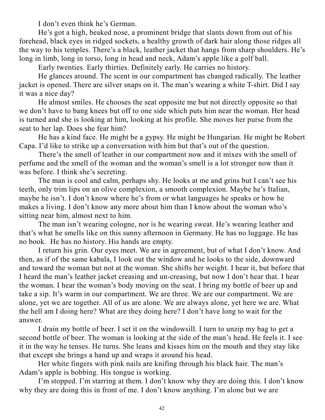I don't even think he's German.

He's got a high, beaked nose, a prominent bridge that slants down from out of his forehead, black eyes in ridged sockets, a healthy growth of dark hair along those ridges all the way to his temples. There's a black, leather jacket that hangs from sharp shoulders. He's long in limb, long in torso, long in head and neck, Adam's apple like a golf ball.

Early twenties. Early thirties. Definitely early. He carries no history.

He glances around. The scent in our compartment has changed radically. The leather jacket is opened. There are silver snaps on it. The man's wearing a white T-shirt. Did I say it was a nice day?

He almost smiles. He chooses the seat opposite me but not directly opposite so that we don't have to bang knees but off to one side which puts him near the woman. Her head is turned and she is looking at him, looking at his profile. She moves her purse from the seat to her lap. Does she fear him?

He has a kind face. He might be a gypsy. He might be Hungarian. He might be Robert Capa. I'd like to strike up a conversation with him but that's out of the question.

There's the smell of leather in our compartment now and it mixes with the smell of perfume and the smell of the woman and the woman's smell is a lot stronger now than it was before. I think she's secreting.

The man is cool and calm, perhaps shy. He looks at me and grins but I can't see his teeth, only trim lips on an olive complexion, a smooth complexion. Maybe he's Italian, maybe he isn't. I don't know where he's from or what languages he speaks or how he makes a living. I don't know any more about him than I know about the woman who's sitting near him, almost next to him.

The man isn't wearing cologne, nor is he wearing sweat. He's wearing leather and that's what he smells like on this sunny afternoon in Germany. He has no luggage. He has no book. He has no history. His hands are empty.

I return his grin. Our eyes meet. We are in agreement, but of what I don't know. And then, as if of the same kabala, I look out the window and he looks to the side, downward and toward the woman but not at the woman. She shifts her weight. I hear it, but before that I heard the man's leather jacket creasing and un-creasing, but now I don't hear that. I hear the woman. I hear the woman's body moving on the seat. I bring my bottle of beer up and take a sip. It's warm in our compartment. We are three. We are our compartment. We are alone, yet we are together. All of us are alone. We are always alone, yet here we are. What the hell am I doing here? What are they doing here? I don't have long to wait for the answer.

I drain my bottle of beer. I set it on the windowsill. I turn to unzip my bag to get a second bottle of beer. The woman is looking at the side of the man's head. He feels it. I see it in the way he tenses. He turns. She leans and kisses him on the mouth and they stay like that except she brings a hand up and wraps it around his head.

Her white fingers with pink nails are knifing through his black hair. The man's Adam's apple is bobbing. His tongue is working.

I'm stopped. I'm starring at them. I don't know why they are doing this. I don't know why they are doing this in front of me. I don't know anything. I'm alone but we are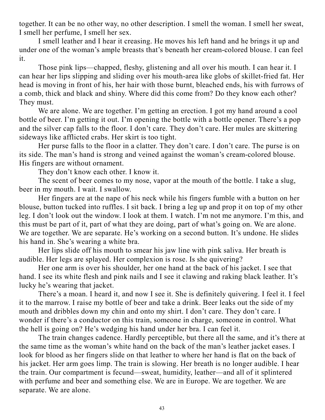together. It can be no other way, no other description. I smell the woman. I smell her sweat, I smell her perfume, I smell her sex.

I smell leather and I hear it creasing. He moves his left hand and he brings it up and under one of the woman's ample breasts that's beneath her cream-colored blouse. I can feel it.

Those pink lips—chapped, fleshy, glistening and all over his mouth. I can hear it. I can hear her lips slipping and sliding over his mouth-area like globs of skillet-fried fat. Her head is moving in front of his, her hair with those burnt, bleached ends, his with furrows of a comb, thick and black and shiny. Where did this come from? Do they know each other? They must.

We are alone. We are together. I'm getting an erection. I got my hand around a cool bottle of beer. I'm getting it out. I'm opening the bottle with a bottle opener. There's a pop and the silver cap falls to the floor. I don't care. They don't care. Her mules are skittering sideways like afflicted crabs. Her skirt is too tight.

Her purse falls to the floor in a clatter. They don't care. I don't care. The purse is on its side. The man's hand is strong and veined against the woman's cream-colored blouse. His fingers are without ornament.

They don't know each other. I know it.

The scent of beer comes to my nose, vapor at the mouth of the bottle. I take a slug, beer in my mouth. I wait. I swallow.

Her fingers are at the nape of his neck while his fingers fumble with a button on her blouse, button tucked into ruffles. I sit back. I bring a leg up and prop it on top of my other leg. I don't look out the window. I look at them. I watch. I'm not me anymore. I'm this, and this must be part of it, part of what they are doing, part of what's going on. We are alone. We are together. We are separate. He's working on a second button. It's undone. He slides his hand in. She's wearing a white bra.

Her lips slide off his mouth to smear his jaw line with pink saliva. Her breath is audible. Her legs are splayed. Her complexion is rose. Is she quivering?

Her one arm is over his shoulder, her one hand at the back of his jacket. I see that hand. I see its white flesh and pink nails and I see it clawing and raking black leather. It's lucky he's wearing that jacket.

There's a moan. I heard it, and now I see it. She is definitely quivering. I feel it. I feel it to the marrow. I raise my bottle of beer and take a drink. Beer leaks out the side of my mouth and dribbles down my chin and onto my shirt. I don't care. They don't care. I wonder if there's a conductor on this train, someone in charge, someone in control. What the hell is going on? He's wedging his hand under her bra. I can feel it.

The train changes cadence. Hardly perceptible, but there all the same, and it's there at the same time as the woman's white hand on the back of the man's leather jacket eases. I look for blood as her fingers slide on that leather to where her hand is flat on the back of his jacket. Her arm goes limp. The train is slowing. Her breath is no longer audible. I hear the train. Our compartment is fecund—sweat, humidity, leather—and all of it splintered with perfume and beer and something else. We are in Europe. We are together. We are separate. We are alone.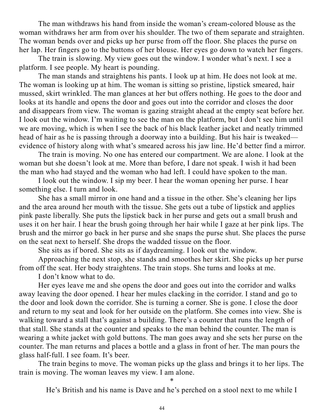The man withdraws his hand from inside the woman's cream-colored blouse as the woman withdraws her arm from over his shoulder. The two of them separate and straighten. The woman bends over and picks up her purse from off the floor. She places the purse on her lap. Her fingers go to the buttons of her blouse. Her eyes go down to watch her fingers.

The train is slowing. My view goes out the window. I wonder what's next. I see a platform. I see people. My heart is pounding.

The man stands and straightens his pants. I look up at him. He does not look at me. The woman is looking up at him. The woman is sitting so pristine, lipstick smeared, hair mussed, skirt wrinkled. The man glances at her but offers nothing. He goes to the door and looks at its handle and opens the door and goes out into the corridor and closes the door and disappears from view. The woman is gazing straight ahead at the empty seat before her. I look out the window. I'm waiting to see the man on the platform, but I don't see him until we are moving, which is when I see the back of his black leather jacket and neatly trimmed head of hair as he is passing through a doorway into a building. But his hair is tweaked evidence of history along with what's smeared across his jaw line. He'd better find a mirror.

The train is moving. No one has entered our compartment. We are alone. I look at the woman but she doesn't look at me. More than before, I dare not speak. I wish it had been the man who had stayed and the woman who had left. I could have spoken to the man.

I look out the window. I sip my beer. I hear the woman opening her purse. I hear something else. I turn and look.

She has a small mirror in one hand and a tissue in the other. She's cleaning her lips and the area around her mouth with the tissue. She gets out a tube of lipstick and applies pink paste liberally. She puts the lipstick back in her purse and gets out a small brush and uses it on her hair. I hear the brush going through her hair while I gaze at her pink lips. The brush and the mirror go back in her purse and she snaps the purse shut. She places the purse on the seat next to herself. She drops the wadded tissue on the floor.

She sits as if bored. She sits as if daydreaming. I look out the window.

Approaching the next stop, she stands and smoothes her skirt. She picks up her purse from off the seat. Her body straightens. The train stops. She turns and looks at me.

I don't know what to do.

Her eyes leave me and she opens the door and goes out into the corridor and walks away leaving the door opened. I hear her mules clacking in the corridor. I stand and go to the door and look down the corridor. She is turning a corner. She is gone. I close the door and return to my seat and look for her outside on the platform. She comes into view. She is walking toward a stall that's against a building. There's a counter that runs the length of that stall. She stands at the counter and speaks to the man behind the counter. The man is wearing a white jacket with gold buttons. The man goes away and she sets her purse on the counter. The man returns and places a bottle and a glass in front of her. The man pours the glass half-full. I see foam. It's beer.

The train begins to move. The woman picks up the glass and brings it to her lips. The train is moving. The woman leaves my view. I am alone.

\* He's British and his name is Dave and he's perched on a stool next to me while I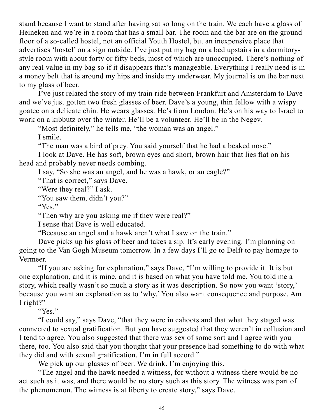stand because I want to stand after having sat so long on the train. We each have a glass of Heineken and we're in a room that has a small bar. The room and the bar are on the ground floor of a so-called hostel, not an official Youth Hostel, but an inexpensive place that advertises 'hostel' on a sign outside. I've just put my bag on a bed upstairs in a dormitorystyle room with about forty or fifty beds, most of which are unoccupied. There's nothing of any real value in my bag so if it disappears that's manageable. Everything I really need is in a money belt that is around my hips and inside my underwear. My journal is on the bar next to my glass of beer.

I've just related the story of my train ride between Frankfurt and Amsterdam to Dave and we've just gotten two fresh glasses of beer. Dave's a young, thin fellow with a wispy goatee on a delicate chin. He wears glasses. He's from London. He's on his way to Israel to work on a kibbutz over the winter. He'll be a volunteer. He'll be in the Negev.

"Most definitely," he tells me, "the woman was an angel."

I smile.

"The man was a bird of prey. You said yourself that he had a beaked nose."

I look at Dave. He has soft, brown eyes and short, brown hair that lies flat on his head and probably never needs combing.

I say, "So she was an angel, and he was a hawk, or an eagle?"

"That is correct," says Dave.

"Were they real?" I ask.

"You saw them, didn't you?"

"Yes."

"Then why are you asking me if they were real?"

I sense that Dave is well educated.

"Because an angel and a hawk aren't what I saw on the train."

Dave picks up his glass of beer and takes a sip. It's early evening. I'm planning on going to the Van Gogh Museum tomorrow. In a few days I'll go to Delft to pay homage to Vermeer.

"If you are asking for explanation," says Dave, "I'm willing to provide it. It is but one explanation, and it is mine, and it is based on what you have told me. You told me a story, which really wasn't so much a story as it was description. So now you want 'story,' because you want an explanation as to 'why.' You also want consequence and purpose. Am I right?"

"Yes."

"I could say," says Dave, "that they were in cahoots and that what they staged was connected to sexual gratification. But you have suggested that they weren't in collusion and I tend to agree. You also suggested that there was sex of some sort and I agree with you there, too. You also said that you thought that your presence had something to do with what they did and with sexual gratification. I'm in full accord."

We pick up our glasses of beer. We drink. I'm enjoying this.

"The angel and the hawk needed a witness, for without a witness there would be no act such as it was, and there would be no story such as this story. The witness was part of the phenomenon. The witness is at liberty to create story," says Dave.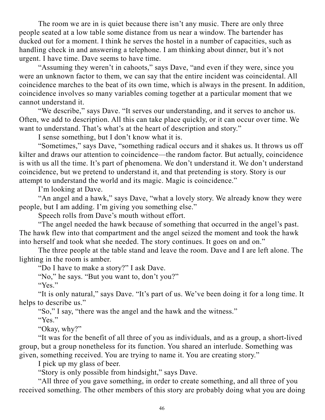The room we are in is quiet because there isn't any music. There are only three people seated at a low table some distance from us near a window. The bartender has ducked out for a moment. I think he serves the hostel in a number of capacities, such as handling check in and answering a telephone. I am thinking about dinner, but it's not urgent. I have time. Dave seems to have time.

"Assuming they weren't in cahoots," says Dave, "and even if they were, since you were an unknown factor to them, we can say that the entire incident was coincidental. All coincidence marches to the beat of its own time, which is always in the present. In addition, coincidence involves so many variables coming together at a particular moment that we cannot understand it.

"We describe," says Dave. "It serves our understanding, and it serves to anchor us. Often, we add to description. All this can take place quickly, or it can occur over time. We want to understand. That's what's at the heart of description and story."

I sense something, but I don't know what it is.

"Sometimes," says Dave, "something radical occurs and it shakes us. It throws us off kilter and draws our attention to coincidence—the random factor. But actually, coincidence is with us all the time. It's part of phenomena. We don't understand it. We don't understand coincidence, but we pretend to understand it, and that pretending is story. Story is our attempt to understand the world and its magic. Magic is coincidence."

I'm looking at Dave.

"An angel and a hawk," says Dave, "what a lovely story. We already know they were people, but I am adding. I'm giving you something else."

Speech rolls from Dave's mouth without effort.

"The angel needed the hawk because of something that occurred in the angel's past. The hawk flew into that compartment and the angel seized the moment and took the hawk into herself and took what she needed. The story continues. It goes on and on."

The three people at the table stand and leave the room. Dave and I are left alone. The lighting in the room is amber.

"Do I have to make a story?" I ask Dave.

"No," he says. "But you want to, don't you?"

"Yes."

"It is only natural," says Dave. "It's part of us. We've been doing it for a long time. It helps to describe us."

"So," I say, "there was the angel and the hawk and the witness."

"Yes."

"Okay, why?"

"It was for the benefit of all three of you as individuals, and as a group, a short-lived group, but a group nonetheless for its function. You shared an interlude. Something was given, something received. You are trying to name it. You are creating story."

I pick up my glass of beer.

"Story is only possible from hindsight," says Dave.

"All three of you gave something, in order to create something, and all three of you received something. The other members of this story are probably doing what you are doing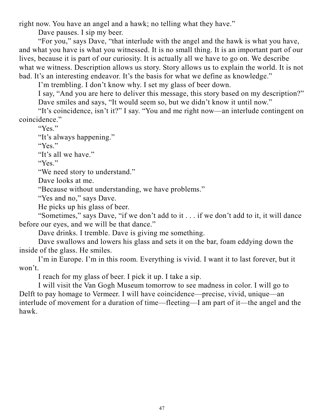right now. You have an angel and a hawk; no telling what they have."

Dave pauses. I sip my beer.

"For you," says Dave, "that interlude with the angel and the hawk is what you have, and what you have is what you witnessed. It is no small thing. It is an important part of our lives, because it is part of our curiosity. It is actually all we have to go on. We describe what we witness. Description allows us story. Story allows us to explain the world. It is not bad. It's an interesting endeavor. It's the basis for what we define as knowledge."

I'm trembling. I don't know why. I set my glass of beer down.

I say, "And you are here to deliver this message, this story based on my description?" Dave smiles and says, "It would seem so, but we didn't know it until now."

"It's coincidence, isn't it?" I say. "You and me right now—an interlude contingent on coincidence."

"Yes."

"It's always happening."

"Yes."

"It's all we have."

"Yes."

"We need story to understand."

Dave looks at me.

"Because without understanding, we have problems."

"Yes and no," says Dave.

He picks up his glass of beer.

"Sometimes," says Dave, "if we don't add to it . . . if we don't add to it, it will dance before our eyes, and we will be that dance."

Dave drinks. I tremble. Dave is giving me something.

Dave swallows and lowers his glass and sets it on the bar, foam eddying down the inside of the glass. He smiles.

I'm in Europe. I'm in this room. Everything is vivid. I want it to last forever, but it won't.

I reach for my glass of beer. I pick it up. I take a sip.

I will visit the Van Gogh Museum tomorrow to see madness in color. I will go to Delft to pay homage to Vermeer. I will have coincidence—precise, vivid, unique—an interlude of movement for a duration of time—fleeting—I am part of it—the angel and the hawk.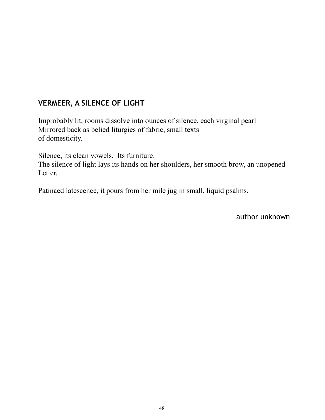# VERMEER, A SILENCE OF LIGHT

Improbably lit, rooms dissolve into ounces of silence, each virginal pearl Mirrored back as belied liturgies of fabric, small texts of domesticity.

Silence, its clean vowels. Its furniture. The silence of light lays its hands on her shoulders, her smooth brow, an unopened Letter.

Patinaed latescence, it pours from her mile jug in small, liquid psalms.

—author unknown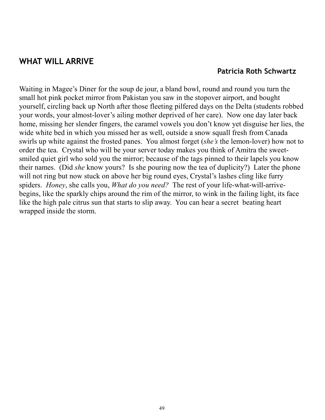### WHAT WILL ARRIVE

#### Patricia Roth Schwartz

Waiting in Magee's Diner for the soup de jour, a bland bowl, round and round you turn the small hot pink pocket mirror from Pakistan you saw in the stopover airport, and bought yourself, circling back up North after those fleeting pilfered days on the Delta (students robbed your words, your almost-lover's ailing mother deprived of her care). Now one day later back home, missing her slender fingers, the caramel vowels you don't know yet disguise her lies, the wide white bed in which you missed her as well, outside a snow squall fresh from Canada swirls up white against the frosted panes. You almost forget *(she's* the lemon-lover) how not to order the tea. Crystal who will be your server today makes you think of Amitra the sweetsmiled quiet girl who sold you the mirror; because of the tags pinned to their lapels you know their names. (Did she know yours? Is she pouring now the tea of duplicity?) Later the phone will not ring but now stuck on above her big round eyes, Crystal's lashes cling like furry spiders. Honey, she calls you, What do you need? The rest of your life-what-will-arrivebegins, like the sparkly chips around the rim of the mirror, to wink in the failing light, its face like the high pale citrus sun that starts to slip away. You can hear a secret beating heart wrapped inside the storm.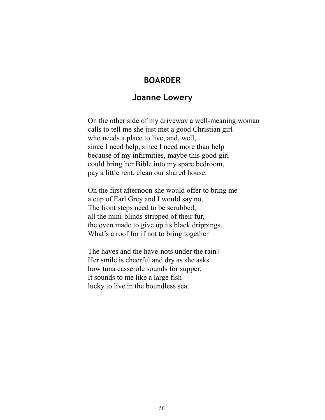# **BOARDER**

### Joanne Lowery

On the other side of my driveway a well-meaning woman calls to tell me she just met a good Christian girl who needs a place to live, and, well, since I need help, since I need more than help because of my infirmities, maybe this good girl could bring her Bible into my spare bedroom, pay a little rent, clean our shared house.

On the first afternoon she would offer to bring me a cup of Earl Grey and I would say no. The front steps need to be scrubbed, all the mini-blinds stripped of their fur, the oven made to give up its black drippings. What's a roof for if not to bring together

The haves and the have-nots under the rain? Her smile is cheerful and dry as she asks how tuna casserole sounds for supper. It sounds to me like a large fish lucky to live in the boundless sea.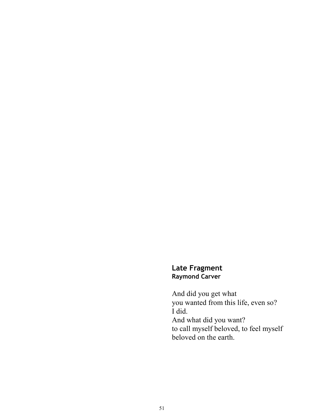#### Late Fragment Raymond Carver

And did you get what you wanted from this life, even so? I did. And what did you want? to call myself beloved, to feel myself beloved on the earth.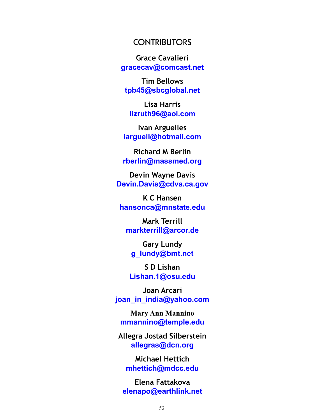#### **CONTRIBUTORS**

Grace Cavalieri gracecav@comcast.net

Tim Bellows tpb45@sbcglobal.net

Lisa Harris lizruth96@aol.com

Ivan Arguelles iarguell@hotmail.com

Richard M Berlin rberlin@massmed.org

Devin Wayne Davis Devin.Davis@cdva.ca.gov

K C Hansen hansonca@mnstate.edu

Mark Terrill markterrill@arcor.de

Gary Lundy g\_lundy@bmt.net

S D Lishan Lishan.1@osu.edu

Joan Arcari joan\_in\_india@yahoo.com

Mary Ann Mannino mmannino@temple.edu

Allegra Jostad Silberstein allegras@dcn.org

Michael Hettich mhettich@mdcc.edu

Elena Fattakova elenapo@earthlink.net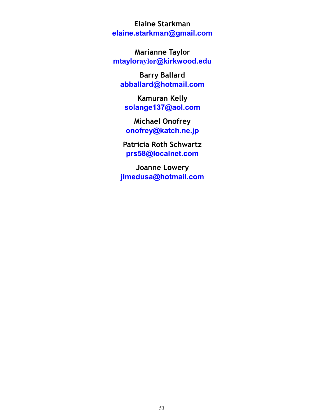Elaine Starkman elaine.starkman@gmail.com

Marianne Taylor mtayloraylor@kirkwood.edu

Barry Ballard abballard@hotmail.com

Kamuran Kelly solange137@aol.com

Michael Onofrey onofrey@katch.ne.jp

Patricia Roth Schwartz prs58@localnet.com

Joanne Lowery jlmedusa@hotmail.com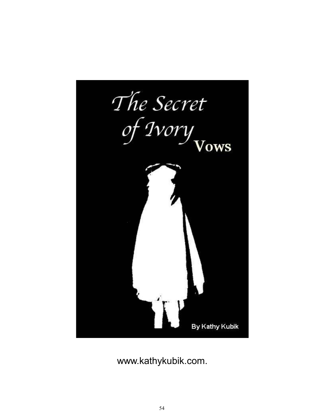

www.kathykubik.com.